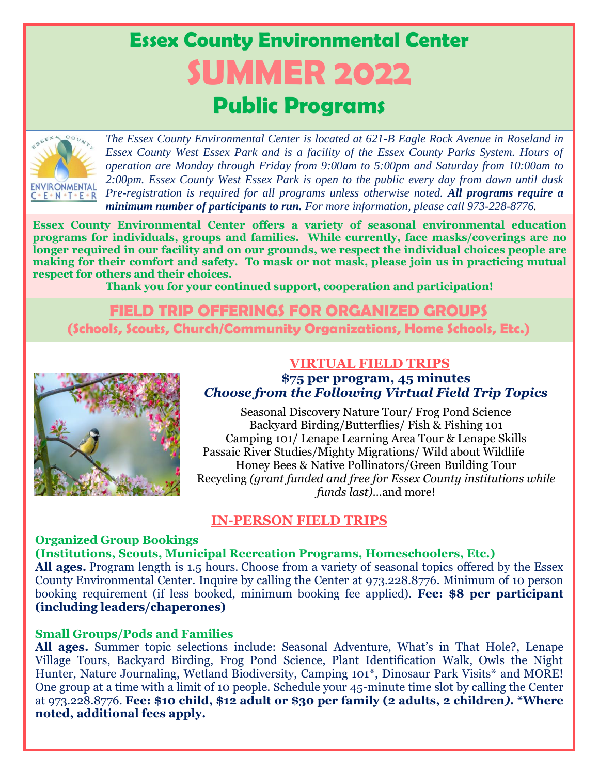# **Essex County Environmental Center SUMMER 2022 Public Programs**



*The Essex County Environmental Center is located at 621-B Eagle Rock Avenue in Roseland in Essex County West Essex Park and is a facility of the Essex County Parks System. Hours of operation are Monday through Friday from 9:00am to 5:00pm and Saturday from 10:00am to 2:00pm. Essex County West Essex Park is open to the public every day from dawn until dusk Pre-registration is required for all programs unless otherwise noted. All programs require a minimum number of participants to run. For more information, please call 973-228-8776.*

**Essex County Environmental Center offers a variety of seasonal environmental education programs for individuals, groups and families. While currently, face masks/coverings are no longer required in our facility and on our grounds, we respect the individual choices people are making for their comfort and safety. To mask or not mask, please join us in practicing mutual respect for others and their choices.** 

**Thank you for your continued support, cooperation and participation!**

# **FIELD TRIP OFFERINGS FOR ORGANIZED GROUPS (Schools, Scouts, Church/Community Organizations, Home Schools, Etc.)**



## **VIRTUAL FIELD TRIPS \$75 per program, 45 minutes** *Choose from the Following Virtual Field Trip Topics*

Seasonal Discovery Nature Tour/ Frog Pond Science Backyard Birding/Butterflies/ Fish & Fishing 101 Camping 101/ Lenape Learning Area Tour & Lenape Skills Passaic River Studies/Mighty Migrations/ Wild about Wildlife Honey Bees & Native Pollinators/Green Building Tour Recycling *(grant funded and free for Essex County institutions while funds last)*…and more!

# **IN-PERSON FIELD TRIPS**

# **Organized Group Bookings**

# **(Institutions, Scouts, Municipal Recreation Programs, Homeschoolers, Etc.)**

**All ages.** Program length is 1.5 hours. Choose from a variety of seasonal topics offered by the Essex County Environmental Center. Inquire by calling the Center at 973.228.8776. Minimum of 10 person booking requirement (if less booked, minimum booking fee applied). **Fee: \$8 per participant (including leaders/chaperones)**

# **Small Groups/Pods and Families**

**All ages.** Summer topic selections include: Seasonal Adventure, What's in That Hole?, Lenape Village Tours, Backyard Birding, Frog Pond Science, Plant Identification Walk, Owls the Night Hunter, Nature Journaling, Wetland Biodiversity, Camping 101\*, Dinosaur Park Visits\* and MORE! One group at a time with a limit of 10 people. Schedule your 45-minute time slot by calling the Center at 973.228.8776. **Fee: \$10 child, \$12 adult or \$30 per family (2 adults, 2 children***).* **\*Where noted, additional fees apply.**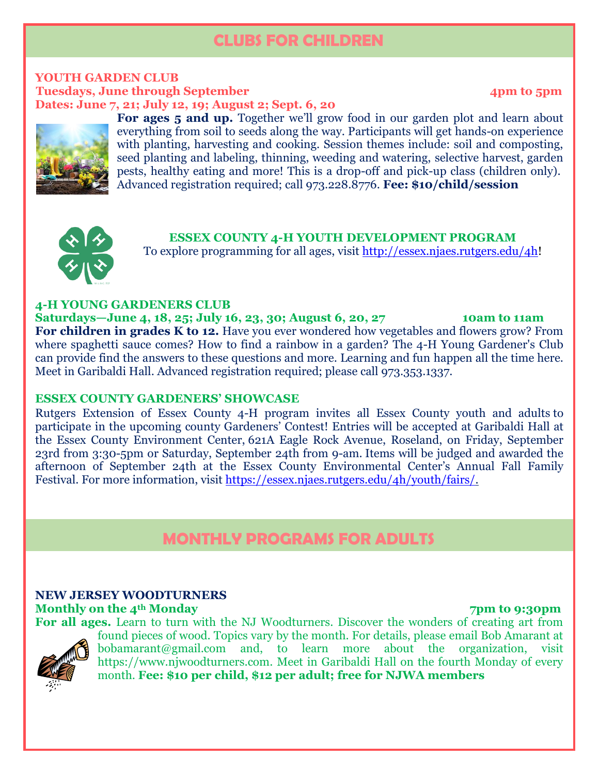# **CLUBS FOR CHILDREN**

#### **YOUTH GARDEN CLUB Tuesdays, June through September 4pm to 5pm Dates: June 7, 21; July 12, 19; August 2; Sept. 6, 20**

**For ages 5 and up.** Together we'll grow food in our garden plot and learn about everything from soil to seeds along the way. Participants will get hands-on experience with planting, harvesting and cooking. Session themes include: soil and composting, seed planting and labeling, thinning, weeding and watering, selective harvest, garden pests, healthy eating and more! This is a drop-off and pick-up class (children only). Advanced registration required; call 973.228.8776. **Fee: \$10/child/session** 



**ESSEX COUNTY 4-H YOUTH DEVELOPMENT PROGRAM** To explore programming for all ages, visit [http://essex.njaes.rutgers.edu/4h!](https://na01.safelinks.protection.outlook.com/?url=http%3A%2F%2Fessex.njaes.rutgers.edu%2F4h&data=02%7C01%7Cessex4h%40njaes.rutgers.edu%7C212fbaeb2d6845bbc4d508d5416f6183%7Cb92d2b234d35447093ff69aca6632ffe%7C1%7C0%7C636486869015379731&sdata=%2FOcyM%2FOOGDF%2FLRSyTC5LR1kScWRuBMHmN90%2FSeSScCA%3D&reserved=0)

## **4-H YOUNG GARDENERS CLUB**

**Saturdays—June 4, 18, 25; July 16, 23, 30; August 6, 20, 27 10am to 11am For children in grades K to 12.** Have you ever wondered how vegetables and flowers grow? From where spaghetti sauce comes? How to find a rainbow in a garden? The 4-H Young Gardener's Club can provide find the answers to these questions and more. Learning and fun happen all the time here. Meet in Garibaldi Hall. Advanced registration required; please call 973.353.1337.

## **ESSEX COUNTY GARDENERS' SHOWCASE**

Rutgers Extension of Essex County 4-H program invites all Essex County youth and adults to participate in the upcoming county Gardeners' Contest! Entries will be accepted at Garibaldi Hall at the Essex County Environment Center, 621A Eagle Rock Avenue, Roseland, on Friday, September 23rd from 3:30-5pm or Saturday, September 24th from 9-am. Items will be judged and awarded the afternoon of September 24th at the Essex County Environmental Center's Annual Fall Family Festival. For more information, visit [https://essex.njaes.rutgers.edu/4h/youth/fairs/.](https://essex.njaes.rutgers.edu/4h/youth/fairs/)

# **MONTHLY PROGRAMS FOR ADULTS**

# **NEW JERSEY WOODTURNERS**

**Monthly on the 4<sup>th</sup> Monday 7pm to 9:30pm** 



**For all ages.** Learn to turn with the NJ Woodturners. Discover the wonders of creating art from found pieces of wood. Topics vary by the month. For details, please email Bob Amarant at [bobamarant@gmail.com](mailto:bobamarant@gmail.com) and, to learn more about the organization, visit [https://www.njwoodturners.com.](https://www.njwoodturners.com/) Meet in Garibaldi Hall on the fourth Monday of every month. **Fee: \$10 per child, \$12 per adult; free for NJWA members**

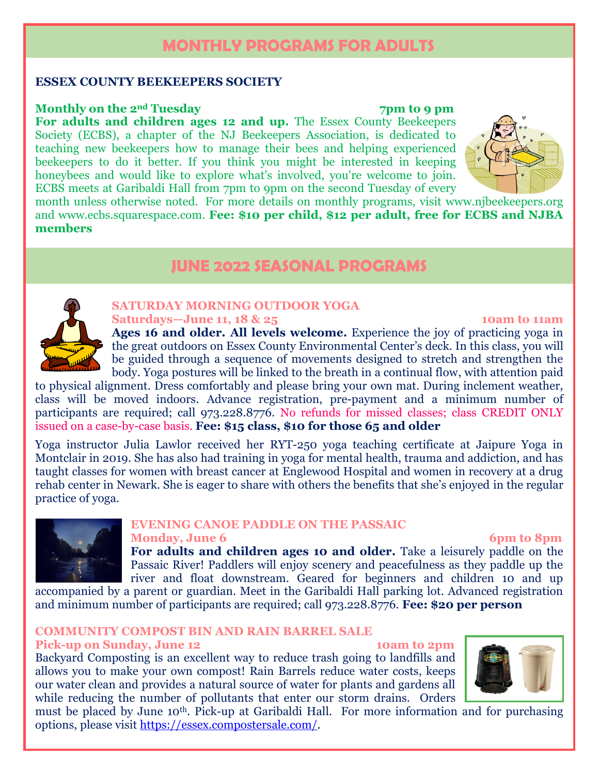# **MONTHLY PROGRAMS FOR ADULTS**

## **ESSEX COUNTY BEEKEEPERS SOCIETY**

## **Monthly on the 2<sup>nd</sup> Tuesday 7pm to 9 pm**

**For adults and children ages 12 and up.** The Essex County Beekeepers Society (ECBS), a chapter of the NJ Beekeepers Association, is dedicated to teaching new beekeepers how to manage their bees and helping experienced beekeepers to do it better. If you think you might be interested in keeping honeybees and would like to explore what's involved, you're welcome to join. ECBS meets at Garibaldi Hall from 7pm to 9pm on the second Tuesday of every



month unless otherwise noted. For more details on monthly programs, visit [www.njbeekeepers.org](https://gcc02.safelinks.protection.outlook.com/?url=http%3A%2F%2Fwww.njbeekeepers.org%2F&data=04%7C01%7Ctcasella%40parks.essexcountynj.org%7C66493dd0ec2d407287c408d98f21aa29%7Cd22d13114d06440099c6c0b945a3b348%7C0%7C1%7C637698197031194446%7CUnknown%7CTWFpbGZsb3d8eyJWIjoiMC4wLjAwMDAiLCJQIjoiV2luMzIiLCJBTiI6Ik1haWwiLCJXVCI6Mn0%3D%7C0&sdata=5%2ByGLKmfa2f2VAne5l%2FRTTNptpPCP9sIy7LEKX5%2FEZc%3D&reserved=0) and [www.ecbs.squarespace.com.](http://www.ecbs.squarespace.com/) **Fee: \$10 per child, \$12 per adult, free for ECBS and NJBA members**

# **JUNE 2022 SEASONAL PROGRAMS**



#### **SATURDAY MORNING OUTDOOR YOGA Saturdays—June 11, 18 & 25 10am to 11am**

# **Ages 16 and older. All levels welcome.** Experience the joy of practicing yoga in the great outdoors on Essex County Environmental Center's deck. In this class, you will be guided through a sequence of movements designed to stretch and strengthen the body. Yoga postures will be linked to the breath in a continual flow, with attention paid

to physical alignment. Dress comfortably and please bring your own mat. During inclement weather, class will be moved indoors. Advance registration, pre-payment and a minimum number of participants are required; call 973.228.8776. No refunds for missed classes; class CREDIT ONLY issued on a case-by-case basis. **Fee: \$15 class, \$10 for those 65 and older**

Yoga instructor Julia Lawlor received her RYT-250 yoga teaching certificate at Jaipure Yoga in Montclair in 2019. She has also had training in yoga for mental health, trauma and addiction, and has taught classes for women with breast cancer at Englewood Hospital and women in recovery at a drug rehab center in Newark. She is eager to share with others the benefits that she's enjoyed in the regular practice of yoga.



# **EVENING CANOE PADDLE ON THE PASSAIC**

# **Monday, June 6 6pm to 8pm**

**For adults and children ages 10 and older.** Take a leisurely paddle on the Passaic River! Paddlers will enjoy scenery and peacefulness as they paddle up the river and float downstream. Geared for beginners and children 10 and up accompanied by a parent or guardian. Meet in the Garibaldi Hall parking lot. Advanced registration

and minimum number of participants are required; call 973.228.8776. **Fee: \$20 per person**

# **COMMUNITY COMPOST BIN AND RAIN BARREL SALE**

**Pick-up on Sunday, June 12 10am to 2pm**

Backyard Composting is an excellent way to reduce trash going to landfills and allows you to make your own compost! Rain Barrels reduce water costs, keeps our water clean and provides a natural source of water for plants and gardens all while reducing the number of pollutants that enter our storm drains. Orders



must be placed by June 10th. Pick-up at Garibaldi Hall. For more information and for purchasing options, please visit [https://essex.compostersale.com/.](https://essex.compostersale.com/)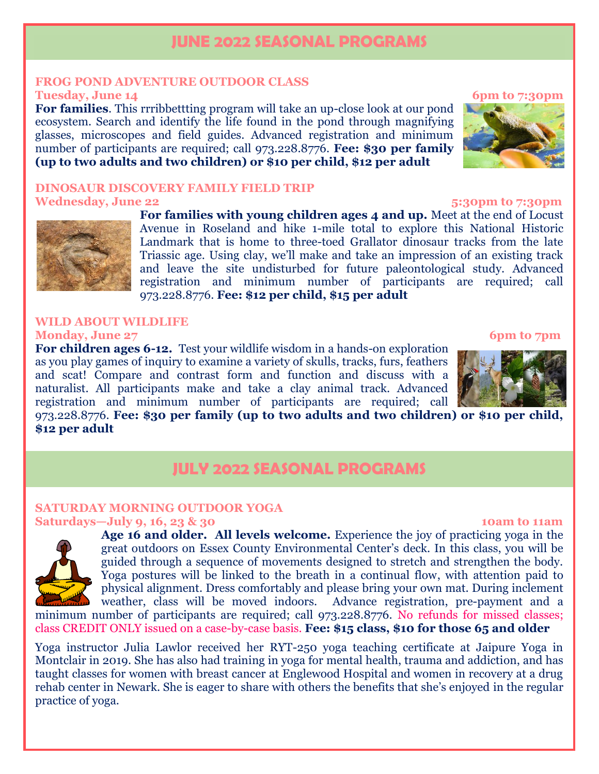# **JUNE 2022 SEASONAL PROGRAMS**

### **FROG POND ADVENTURE OUTDOOR CLASS Tuesday, June 14** 6pm to 7:30pm

**For families**. This rrribbettting program will take an up-close look at our pond ecosystem. Search and identify the life found in the pond through magnifying glasses, microscopes and field guides. Advanced registration and minimum number of participants are required; call 973.228.8776. **Fee: \$30 per family (up to two adults and two children) or \$10 per child, \$12 per adult**

## **DINOSAUR DISCOVERY FAMILY FIELD TRIP Wednesday, June 22 5:30pm to 7:30pm**

**For families with young children ages 4 and up.** Meet at the end of Locust Avenue in Roseland and hike 1-mile total to explore this National Historic Landmark that is home to three-toed Grallator dinosaur tracks from the late Triassic age. Using clay, we'll make and take an impression of an existing track and leave the site undisturbed for future paleontological study. Advanced registration and minimum number of participants are required; call 973.228.8776. **Fee: \$12 per child, \$15 per adult**

### **WILD ABOUT WILDLIFE Monday, June 27** 6pm to 7pm

**For children ages 6-12.** Test your wildlife wisdom in a hands-on exploration as you play games of inquiry to examine a variety of skulls, tracks, furs, feathers and scat! Compare and contrast form and function and discuss with a naturalist. All participants make and take a clay animal track. Advanced registration and minimum number of participants are required; call

973.228.8776. **Fee: \$30 per family (up to two adults and two children) or \$10 per child, \$12 per adult**

# **JULY 2022 SEASONAL PROGRAMS**

# **SATURDAY MORNING OUTDOOR YOGA**

# **Saturdays—July 9, 16, 23 & 30 10am to 11am**



**Age 16 and older. All levels welcome.** Experience the joy of practicing yoga in the great outdoors on Essex County Environmental Center's deck. In this class, you will be guided through a sequence of movements designed to stretch and strengthen the body. Yoga postures will be linked to the breath in a continual flow, with attention paid to physical alignment. Dress comfortably and please bring your own mat. During inclement weather, class will be moved indoors. Advance registration, pre-payment and a

minimum number of participants are required; call 973.228.8776. No refunds for missed classes; class CREDIT ONLY issued on a case-by-case basis. **Fee: \$15 class, \$10 for those 65 and older**

Yoga instructor Julia Lawlor received her RYT-250 yoga teaching certificate at Jaipure Yoga in Montclair in 2019. She has also had training in yoga for mental health, trauma and addiction, and has taught classes for women with breast cancer at Englewood Hospital and women in recovery at a drug rehab center in Newark. She is eager to share with others the benefits that she's enjoyed in the regular practice of yoga.



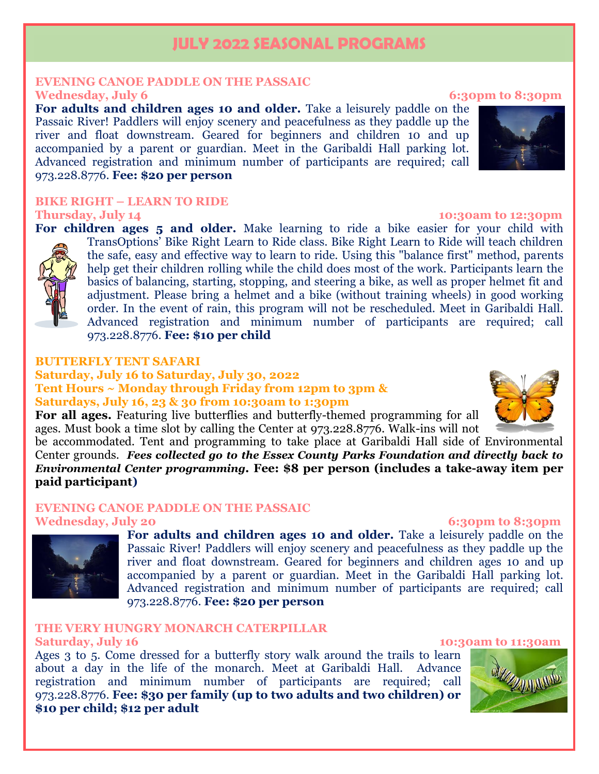# **JULY 2022 SEASONAL PROGRAMS**

# **EVENING CANOE PADDLE ON THE PASSAIC**

**For adults and children ages 10 and older.** Take a leisurely paddle on the Passaic River! Paddlers will enjoy scenery and peacefulness as they paddle up the river and float downstream. Geared for beginners and children 10 and up accompanied by a parent or guardian. Meet in the Garibaldi Hall parking lot. Advanced registration and minimum number of participants are required; call 973.228.8776. **Fee: \$20 per person**

# **BIKE RIGHT – LEARN TO RIDE**

**Thursday, July 14** 10:30am to 12:30pm

For children ages 5 and older. Make learning to ride a bike easier for your child with TransOptions' Bike Right Learn to Ride class. Bike Right Learn to Ride will teach children the safe, easy and effective way to learn to ride. Using this "balance first" method, parents help get their children rolling while the child does most of the work. Participants learn the basics of balancing, starting, stopping, and steering a bike, as well as proper helmet fit and adjustment. Please bring a helmet and a bike (without training wheels) in good working order. In the event of rain, this program will not be rescheduled. Meet in Garibaldi Hall. Advanced registration and minimum number of participants are required; call 973.228.8776. **Fee: \$10 per child**

### **BUTTERFLY TENT SAFARI**

## **Saturday, July 16 to Saturday, July 30, 2022 Tent Hours ~ Monday through Friday from 12pm to 3pm & Saturdays, July 16, 23 & 30 from 10:30am to 1:30pm**

**For all ages.** Featuring live butterflies and butterfly-themed programming for all ages. Must book a time slot by calling the Center at 973.228.8776. Walk-ins will not

be accommodated. Tent and programming to take place at Garibaldi Hall side of Environmental Center grounds. *Fees collected go to the Essex County Parks Foundation and directly back to Environmental Center programming.* **Fee: \$8 per person (includes a take-away item per paid participant)**

# **EVENING CANOE PADDLE ON THE PASSAIC**

## Wednesday, July 20 6:30pm to 8:30pm



**For adults and children ages 10 and older.** Take a leisurely paddle on the Passaic River! Paddlers will enjoy scenery and peacefulness as they paddle up the river and float downstream. Geared for beginners and children ages 10 and up accompanied by a parent or guardian. Meet in the Garibaldi Hall parking lot. Advanced registration and minimum number of participants are required; call 973.228.8776. **Fee: \$20 per person**

# **THE VERY HUNGRY MONARCH CATERPILLAR**

Ages 3 to 5. Come dressed for a butterfly story walk around the trails to learn about a day in the life of the monarch. Meet at Garibaldi Hall. Advance registration and minimum number of participants are required; call 973.228.8776. **Fee: \$30 per family (up to two adults and two children) or \$10 per child; \$12 per adult**

# **Wednesday, July 6 6:30pm to 8:30pm**







#### **Saturday, July 16** 10:30am to 11:30am

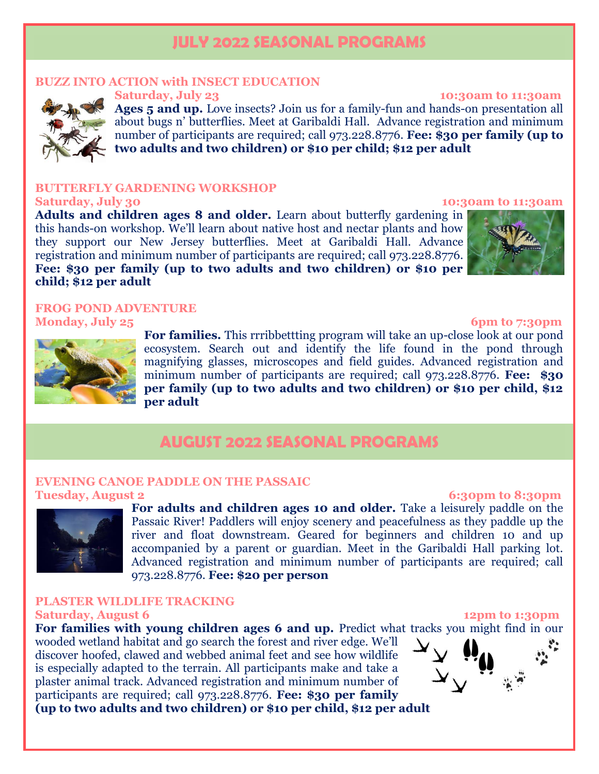# **JULY 2022 SEASONAL PROGRAMS**

## **BUZZ INTO ACTION with INSECT EDUCATION**



**Saturday, July 23** 10:30am to 11:30am **Ages 5 and up.** Love insects? Join us for a family-fun and hands-on presentation all about bugs n' butterflies. Meet at Garibaldi Hall. Advance registration and minimum number of participants are required; call 973.228.8776. **Fee: \$30 per family (up to two adults and two children) or \$10 per child; \$12 per adult**

#### **FERFLY GARDENING WORKSHOP Saturday, July 30 10:30am to 11:30am**

**Adults and children ages 8 and older.** Learn about butterfly gardening in this hands-on workshop. We'll learn about native host and nectar plants and how they support our New Jersey butterflies. Meet at Garibaldi Hall. Advance registration and minimum number of participants are required; call 973.228.8776. **Fee: \$30 per family (up to two adults and two children) or \$10 per child; \$12 per adult**

## **FROG POND ADVENTURE Monday, July 25 6pm to 7:30pm**



**For families.** This rrribbettting program will take an up-close look at our pond ecosystem. Search out and identify the life found in the pond through magnifying glasses, microscopes and field guides. Advanced registration and minimum number of participants are required; call 973.228.8776. **Fee: \$30 per family (up to two adults and two children) or \$10 per child, \$12 per adult**

# **AUGUST 2022 SEASONAL PROGRAMS**

### **EVENING CANOE PADDLE ON THE PASSAIC Tuesday, August 2** 6:30pm to 8:30pm



**For adults and children ages 10 and older.** Take a leisurely paddle on the Passaic River! Paddlers will enjoy scenery and peacefulness as they paddle up the river and float downstream. Geared for beginners and children 10 and up accompanied by a parent or guardian. Meet in the Garibaldi Hall parking lot. Advanced registration and minimum number of participants are required; call 973.228.8776. **Fee: \$20 per person**

### **PLASTER WILDLIFE TRACKING Saturday, August 6 12pm to 1:30pm**

For families with young children ages 6 and up. Predict what tracks you might find in our

wooded wetland habitat and go search the forest and river edge. We'll discover hoofed, clawed and webbed animal feet and see how wildlife is especially adapted to the terrain. All participants make and take a plaster animal track. Advanced registration and minimum number of participants are required; call 973.228.8776. **Fee: \$30 per family (up to two adults and two children) or \$10 per child, \$12 per adult**

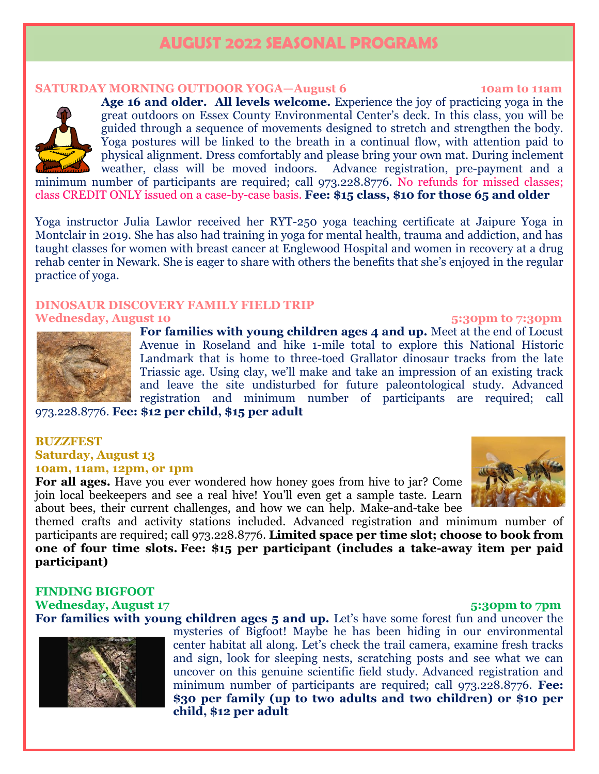# **AUGUST 2022 SEASONAL PROGRAMS**

#### **SATURDAY MORNING OUTDOOR YOGA—August 6 10am to 11am**

**Age 16 and older. All levels welcome.** Experience the joy of practicing yoga in the great outdoors on Essex County Environmental Center's deck. In this class, you will be guided through a sequence of movements designed to stretch and strengthen the body. Yoga postures will be linked to the breath in a continual flow, with attention paid to physical alignment. Dress comfortably and please bring your own mat. During inclement weather, class will be moved indoors. Advance registration, pre-payment and a minimum number of participants are required; call 973.228.8776. No refunds for missed classes; class CREDIT ONLY issued on a case-by-case basis. **Fee: \$15 class, \$10 for those 65 and older**

Yoga instructor Julia Lawlor received her RYT-250 yoga teaching certificate at Jaipure Yoga in Montclair in 2019. She has also had training in yoga for mental health, trauma and addiction, and has taught classes for women with breast cancer at Englewood Hospital and women in recovery at a drug rehab center in Newark. She is eager to share with others the benefits that she's enjoyed in the regular practice of yoga.

# **DINOSAUR DISCOVERY FAMILY FIELD TRIP**

**Wednesday, August 10 5:30pm to 7:30pm** 

**For families with young children ages 4 and up.** Meet at the end of Locust Avenue in Roseland and hike 1-mile total to explore this National Historic Landmark that is home to three-toed Grallator dinosaur tracks from the late Triassic age. Using clay, we'll make and take an impression of an existing track and leave the site undisturbed for future paleontological study. Advanced registration and minimum number of participants are required; call

973.228.8776. **Fee: \$12 per child, \$15 per adult**

### **BUZZFEST Saturday, August 13 10am, 11am, 12pm, or 1pm**

**For all ages.** Have you ever wondered how honey goes from hive to jar? Come join local beekeepers and see a real hive! You'll even get a sample taste. Learn about bees, their current challenges, and how we can help. Make-and-take bee

themed crafts and activity stations included. Advanced registration and minimum number of participants are required; call 973.228.8776. **Limited space per time slot; choose to book from one of four time slots. Fee: \$15 per participant (includes a take-away item per paid participant)**

# **FINDING BIGFOOT**

**Wednesday, August 17 5:30pm to 7pm**  For families with young children ages 5 and up. Let's have some forest fun and uncover the

mysteries of Bigfoot! Maybe he has been hiding in our environmental center habitat all along. Let's check the trail camera, examine fresh tracks and sign, look for sleeping nests, scratching posts and see what we can uncover on this genuine scientific field study. Advanced registration and minimum number of participants are required; call 973.228.8776. **Fee: \$30 per family (up to two adults and two children) or \$10 per child, \$12 per adult**







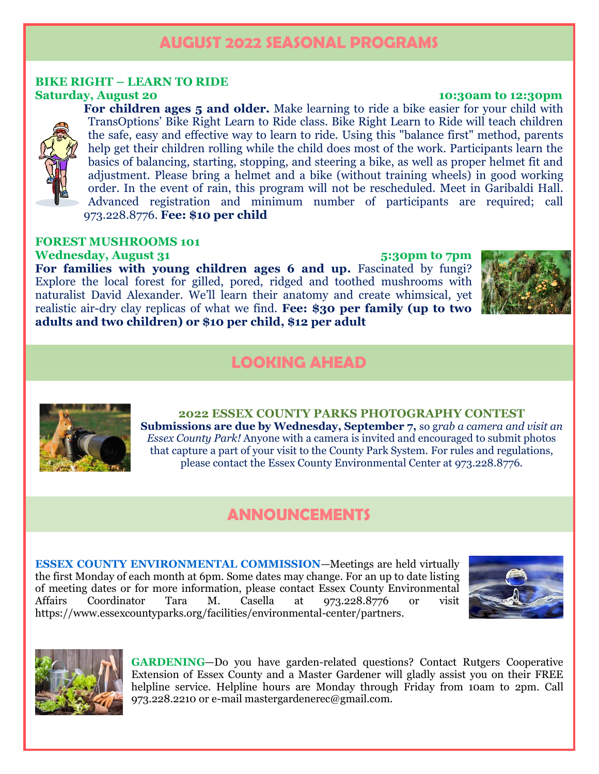# **AUGUST 2022 SEASONAL PROGRAMS**

# **BIKE RIGHT – LEARN TO RIDE**

**For children ages 5 and older.** Make learning to ride a bike easier for your child with TransOptions' Bike Right Learn to Ride class. Bike Right Learn to Ride will teach children the safe, easy and effective way to learn to ride. Using this "balance first" method, parents help get their children rolling while the child does most of the work. Participants learn the basics of balancing, starting, stopping, and steering a bike, as well as proper helmet fit and adjustment. Please bring a helmet and a bike (without training wheels) in good working order. In the event of rain, this program will not be rescheduled. Meet in Garibaldi Hall. Advanced registration and minimum number of participants are required; call 973.228.8776. **Fee: \$10 per child**

# **FOREST MUSHROOMS 101**

**Wednesday, August 31 5:30pm to 7pm** For families with young children ages 6 and up. Fascinated by fungi? Explore the local forest for gilled, pored, ridged and toothed mushrooms with naturalist David Alexander. We'll learn their anatomy and create whimsical, yet realistic air-dry clay replicas of what we find. **Fee: \$30 per family (up to two adults and two children) or \$10 per child, \$12 per adult**



# **LOOKING AHEAD**



**2022 ESSEX COUNTY PARKS PHOTOGRAPHY CONTEST Submissions are due by Wednesday, September 7,** so g*rab a camera and visit an Essex County Park!* Anyone with a camera is invited and encouraged to submit photos that capture a part of your visit to the County Park System. For rules and regulations, please contact the Essex County Environmental Center at 973.228.8776.

# **ANNOUNCEMENTS**

**ESSEX COUNTY ENVIRONMENTAL COMMISSION**—Meetings are held virtually the first Monday of each month at 6pm. Some dates may change. For an up to date listing of meeting dates or for more information, please contact Essex County Environmental Affairs Coordinator Tara M. Casella at 973.228.8776 or visit [https://www.essexcountyparks.org/facilities/environmental-center/partners.](https://www.essexcountyparks.org/facilities/environmental-center/partners)





**GARDENING**—Do you have garden-related questions? Contact Rutgers Cooperative Extension of Essex County and a Master Gardener will gladly assist you on their FREE helpline service. Helpline hours are Monday through Friday from 10am to 2pm. Call 973.228.2210 or e-mail [mastergardenerec@gmail.com.](mailto:mastergardenerec@gmail.com)

### **Saturday, August 20 10:30am to 12:30pm**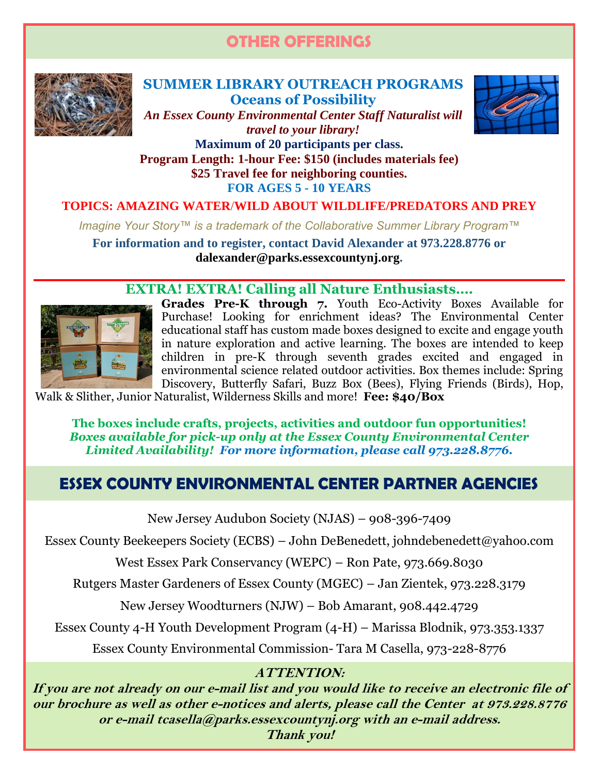# **OTHER OFFERINGS**



# **SUMMER LIBRARY OUTREACH PROGRAMS Oceans of Possibility**



*An Essex County Environmental Center Staff Naturalist will travel to your library!*

**Maximum of 20 participants per class. Program Length: 1-hour Fee: \$150 (includes materials fee) \$25 Travel fee for neighboring counties. FOR AGES 5 - 10 YEARS**

# **TOPICS: AMAZING WATER**/**WILD ABOUT WILDLIFE/PREDATORS AND PREY**

*Imagine Your Story™ is a trademark of the Collaborative Summer Library Program™*

**For information and to register, contact David Alexander at 973.228.8776 or [dalexander@parks.essexcountynj.org.](mailto:dalexander@parks.essexcountynj.org)**

# **EXTRA! EXTRA! Calling all Nature Enthusiasts….**



**Grades Pre-K through 7.** Youth Eco-Activity Boxes Available for Purchase! Looking for enrichment ideas? The Environmental Center educational staff has custom made boxes designed to excite and engage youth in nature exploration and active learning. The boxes are intended to keep children in pre-K through seventh grades excited and engaged in environmental science related outdoor activities. Box themes include: Spring Discovery, Butterfly Safari, Buzz Box (Bees), Flying Friends (Birds), Hop,

Walk & Slither, Junior Naturalist, Wilderness Skills and more! **Fee: \$40/Box**

**The boxes include crafts, projects, activities and outdoor fun opportunities!** *Boxes available for pick-up only at the Essex County Environmental Center Limited Availability! For more information, please call 973.228.8776.*

# **ESSEX COUNTY ENVIRONMENTAL CENTER PARTNER AGENCIES**

New Jersey Audubon Society (NJAS) – 908-396-7409

Essex County Beekeepers Society (ECBS) – John DeBenedett, [johndebenedett@yahoo.com](mailto:johndebenedett@yahoo.com)

West Essex Park Conservancy (WEPC) – Ron Pate, 973.669.8030

Rutgers Master Gardeners of Essex County (MGEC) – Jan Zientek, 973.228.3179

New Jersey Woodturners (NJW) – Bob Amarant, 908.442.4729

Essex County 4-H Youth Development Program (4-H) – Marissa Blodnik, 973.353.1337

Essex County Environmental Commission- Tara M Casella, 973-228-8776

# **ATTENTION:**

**If you are not already on our e-mail list and you would like to receive an electronic file of our brochure as well as other e-notices and alerts, please call the Center at 973.228.8776 or e-mai[l tcasella@parks.essexcountynj.org](mailto:tcasella@parks.essexcountynj.org) with an e-mail address.** 

**Thank you!**